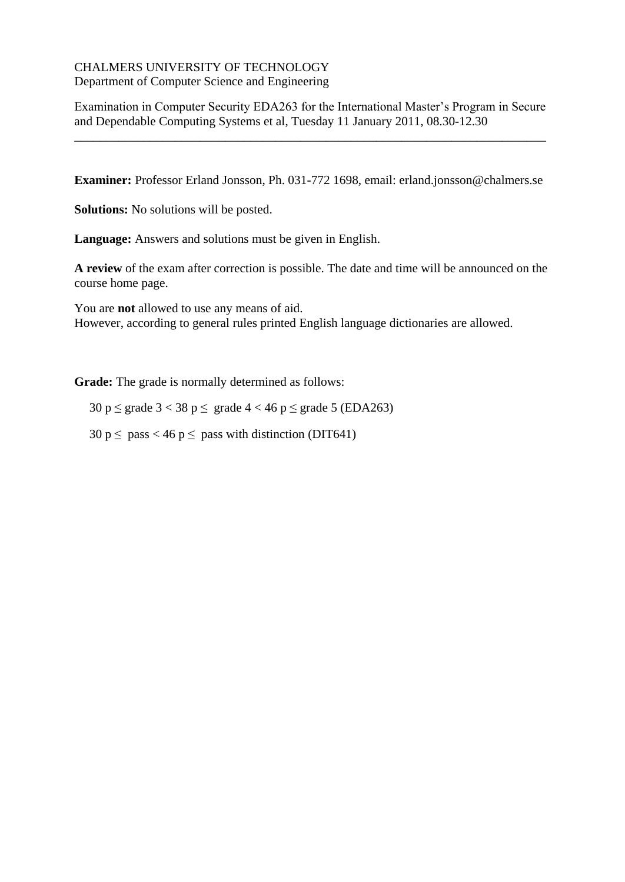#### CHALMERS UNIVERSITY OF TECHNOLOGY Department of Computer Science and Engineering

Examination in Computer Security EDA263 for the International Master's Program in Secure and Dependable Computing Systems et al, Tuesday 11 January 2011, 08.30-12.30

\_\_\_\_\_\_\_\_\_\_\_\_\_\_\_\_\_\_\_\_\_\_\_\_\_\_\_\_\_\_\_\_\_\_\_\_\_\_\_\_\_\_\_\_\_\_\_\_\_\_\_\_\_\_\_\_\_\_\_\_\_\_\_\_\_\_\_\_\_\_\_\_\_\_\_

**Examiner:** Professor Erland Jonsson, Ph. 031-772 1698, email: erland.jonsson@chalmers.se

**Solutions:** No solutions will be posted.

**Language:** Answers and solutions must be given in English.

**A review** of the exam after correction is possible. The date and time will be announced on the course home page.

You are **not** allowed to use any means of aid. However, according to general rules printed English language dictionaries are allowed.

**Grade:** The grade is normally determined as follows:

30 p  $\leq$  grade 3  $<$  38 p  $\leq$  grade 4  $<$  46 p  $\leq$  grade 5 (EDA263)

 $30 \text{ p} \le \text{pass} < 46 \text{ p} \le \text{pass with distinction (DIT641)}$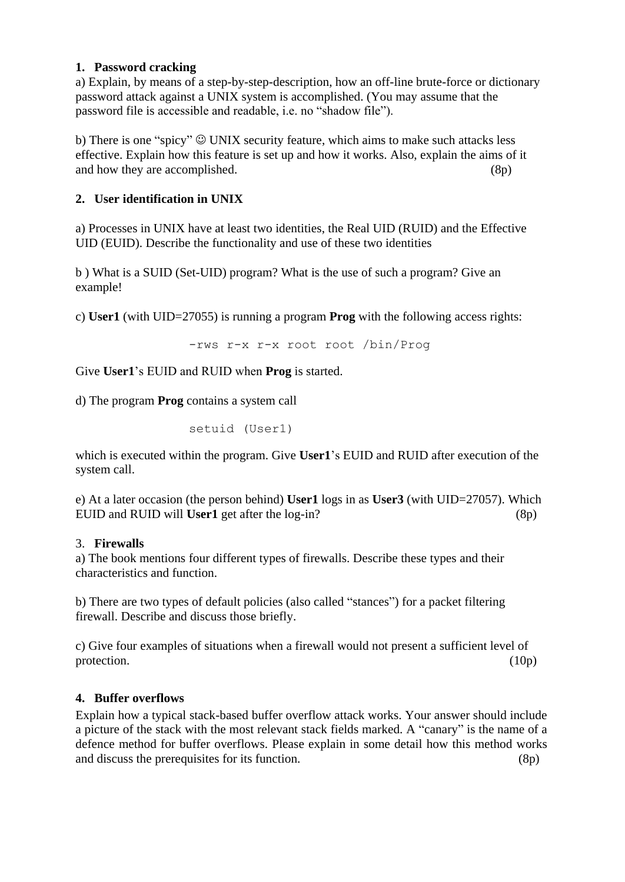## **1. Password cracking**

a) Explain, by means of a step-by-step-description, how an off-line brute-force or dictionary password attack against a UNIX system is accomplished. (You may assume that the password file is accessible and readable, i.e. no "shadow file").

b) There is one "spicy"  $\odot$  UNIX security feature, which aims to make such attacks less effective. Explain how this feature is set up and how it works. Also, explain the aims of it and how they are accomplished. (8p)

# **2. User identification in UNIX**

a) Processes in UNIX have at least two identities, the Real UID (RUID) and the Effective UID (EUID). Describe the functionality and use of these two identities

b ) What is a SUID (Set-UID) program? What is the use of such a program? Give an example!

c) **User1** (with UID=27055) is running a program **Prog** with the following access rights:

-rws r-x r-x root root /bin/Prog

Give **User1**'s EUID and RUID when **Prog** is started.

d) The program **Prog** contains a system call

setuid (User1)

which is executed within the program. Give **User1**'s EUID and RUID after execution of the system call.

e) At a later occasion (the person behind) **User1** logs in as **User3** (with UID=27057). Which EUID and RUID will **User1** get after the log-in? (8p)

## 3. **Firewalls**

a) The book mentions four different types of firewalls. Describe these types and their characteristics and function.

b) There are two types of default policies (also called "stances") for a packet filtering firewall. Describe and discuss those briefly.

c) Give four examples of situations when a firewall would not present a sufficient level of protection.  $(10p)$ 

## **4. Buffer overflows**

Explain how a typical stack-based buffer overflow attack works. Your answer should include a picture of the stack with the most relevant stack fields marked. A "canary" is the name of a defence method for buffer overflows. Please explain in some detail how this method works and discuss the prerequisites for its function. (8p)